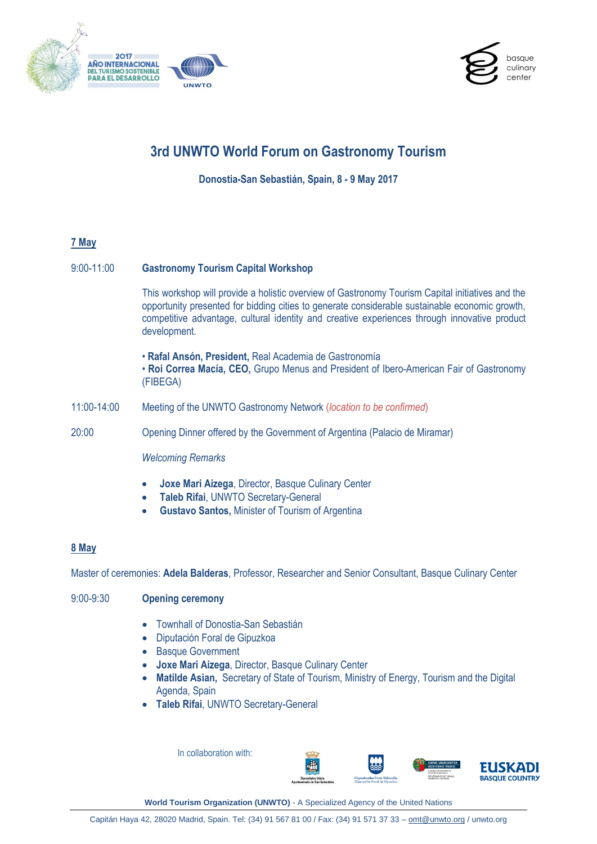



# **3rd UNWTO World Forum on Gastronomy Tourism**

**Donostia-San Sebastián, Spain, 8 - 9 May 2017**

# **7 May**

## 9:00-11:00 **Gastronomy Tourism Capital Workshop**

This workshop will provide a holistic overview of Gastronomy Tourism Capital initiatives and the opportunity presented for bidding cities to generate considerable sustainable economic growth, competitive advantage, cultural identity and creative experiences through innovative product development.

• **Rafal Ansón, President,** Real Academia de Gastronomía • **Roi Correa Macía, CEO,** Grupo Menus and President of Ibero-American Fair of Gastronomy (FIBEGA)

11:00-14:00 Meeting of the UNWTO Gastronomy Network (*location to be confirmed*)

20:00 Opening Dinner offered by the Government of Argentina (Palacio de Miramar)

## *Welcoming Remarks*

- **Joxe Mari Aizega**, Director, Basque Culinary Center
- **Taleb Rifai**, UNWTO Secretary-General
- **Gustavo Santos,** Minister of Tourism of Argentina

## **8 May**

Master of ceremonies: **Adela Balderas**, Professor, Researcher and Senior Consultant, Basque Culinary Center

# 9:00-9:30 **Opening ceremony**

- Townhall of Donostia-San Sebastián
- Diputación Foral de Gipuzkoa
- Basque Government
- **Joxe Mari Aizega**, Director, Basque Culinary Center
- **Matilde Asian,** Secretary of State of Tourism, Ministry of Energy, Tourism and the Digital Agenda, Spain
- **Taleb Rifai**, UNWTO Secretary-General

In collaboration with:





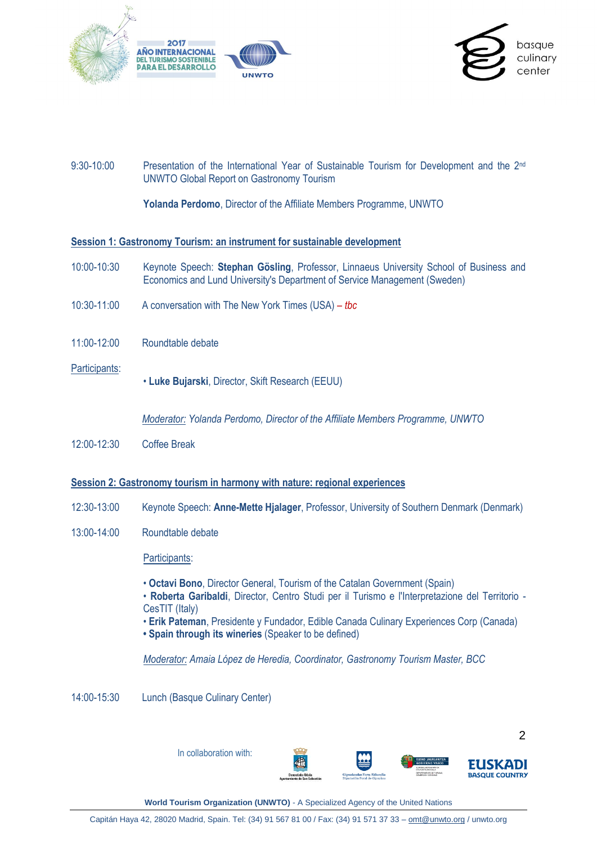



# 9:30-10:00 Presentation of the International Year of Sustainable Tourism for Development and the 2<sup>nd</sup> UNWTO Global Report on Gastronomy Tourism

**Yolanda Perdomo**, Director of the Affiliate Members Programme, UNWTO

#### **Session 1: Gastronomy Tourism: an instrument for sustainable development**

- 10:00-10:30 Keynote Speech: **Stephan Gösling**, Professor, Linnaeus University School of Business and Economics and Lund University's Department of Service Management (Sweden)
- 10:30-11:00 A conversation with The New York Times (USA) *– tbc*
- 11:00-12:00 Roundtable debate
- Participants:
- **Luke Bujarski**, Director, Skift Research (EEUU)

*Moderator: Yolanda Perdomo, Director of the Affiliate Members Programme, UNWTO*

12:00-12:30 Coffee Break

#### **Session 2: Gastronomy tourism in harmony with nature: regional experiences**

- 12:30-13:00 Keynote Speech: **Anne-Mette Hjalager**, Professor, University of Southern Denmark (Denmark)
- 13:00-14:00 Roundtable debate

Participants:

- **Octavi Bono**, Director General, Tourism of the Catalan Government (Spain)
- **Roberta Garibaldi**, Director, Centro Studi per il Turismo e l'Interpretazione del Territorio CesTIT (Italy)
- **Erik Pateman**, Presidente y Fundador, Edible Canada Culinary Experiences Corp (Canada)
- **Spain through its wineries** (Speaker to be defined)

*Moderator: Amaia López de Heredia, Coordinator, Gastronomy Tourism Master, BCC*

14:00-15:30 Lunch (Basque Culinary Center)

 $\mathfrak{D}$ In collaboration with: **JSKADI BASQUE COUNTRY**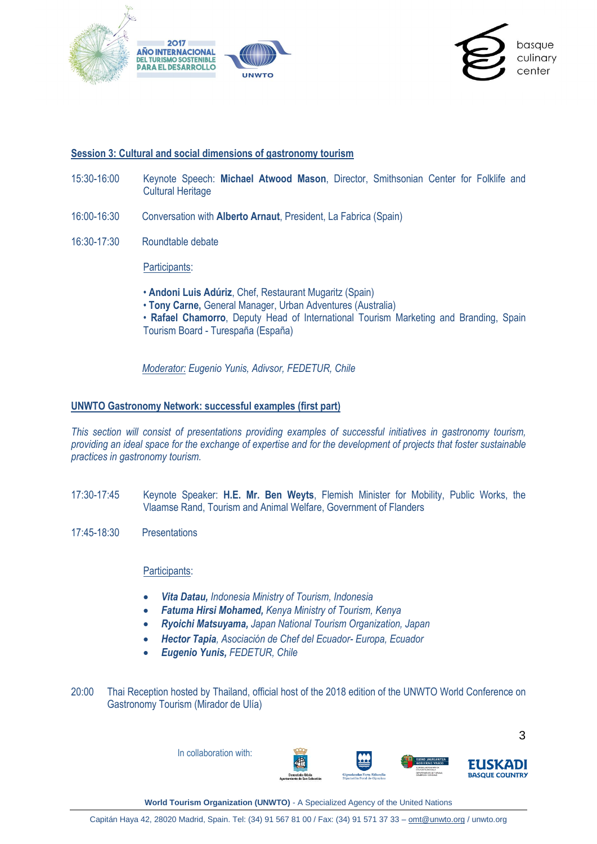



#### **Session 3: Cultural and social dimensions of gastronomy tourism**

- 15:30-16:00 Keynote Speech: **Michael Atwood Mason**, Director, Smithsonian Center for Folklife and Cultural Heritage
- 16:00-16:30 Conversation with **Alberto Arnaut**, President, La Fabrica (Spain)
- 16:30-17:30 Roundtable debate

Participants:

- **Andoni Luis Adúriz**, Chef, Restaurant Mugaritz (Spain)
- **Tony Carne,** General Manager, Urban Adventures (Australia)
- **Rafael Chamorro**, Deputy Head of International Tourism Marketing and Branding, Spain Tourism Board - Turespaña (España)

*Moderator: Eugenio Yunis, Adivsor, FEDETUR, Chile*

#### **UNWTO Gastronomy Network: successful examples (first part)**

*This section will consist of presentations providing examples of successful initiatives in gastronomy tourism, providing an ideal space for the exchange of expertise and for the development of projects that foster sustainable practices in gastronomy tourism.* 

- 17:30-17:45 Keynote Speaker: **H.E. Mr. Ben Weyts**, Flemish Minister for Mobility, Public Works, the Vlaamse Rand, Tourism and Animal Welfare, Government of Flanders
- 17:45-18:30 Presentations

Participants:

- *Vita Datau, Indonesia Ministry of Tourism, Indonesia*
- *Fatuma Hirsi Mohamed, Kenya Ministry of Tourism, Kenya*
- *Ryoichi Matsuyama, Japan National Tourism Organization, Japan*
- *Hector Tapia, Asociación de Chef del Ecuador- Europa, Ecuador*
- *Eugenio Yunis, FEDETUR, Chile*
- 20:00 Thai Reception hosted by Thailand, official host of the 2018 edition of the UNWTO World Conference on Gastronomy Tourism (Mirador de Ulía)

In collaboration with:





3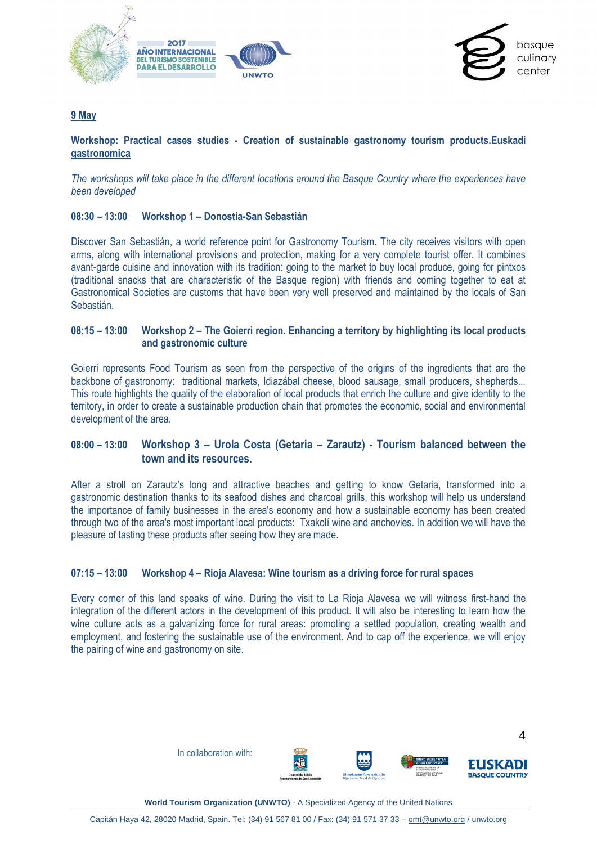



### **9 May**

#### **Workshop: Practical cases studies - Creation of sustainable gastronomy tourism products.Euskadi gastronomica**

*The workshops will take place in the different locations around the Basque Country where the experiences have been developed*

#### **08:30 – 13:00 Workshop 1 – Donostia-San Sebastián**

Discover San Sebastián, a world reference point for Gastronomy Tourism. The city receives visitors with open arms, along with international provisions and protection, making for a very complete tourist offer. It combines avant-garde cuisine and innovation with its tradition: going to the market to buy local produce, going for pintxos (traditional snacks that are characteristic of the Basque region) with friends and coming together to eat at Gastronomical Societies are customs that have been very well preserved and maintained by the locals of San Sebastián.

#### **08:15 – 13:00 Workshop 2 – The Goierri region. Enhancing a territory by highlighting its local products and gastronomic culture**

Goierri represents Food Tourism as seen from the perspective of the origins of the ingredients that are the backbone of gastronomy: traditional markets, Idiazábal cheese, blood sausage, small producers, shepherds... This route highlights the quality of the elaboration of local products that enrich the culture and give identity to the territory, in order to create a sustainable production chain that promotes the economic, social and environmental development of the area.

# **08:00 – 13:00 Workshop 3 – Urola Costa (Getaria – Zarautz) - Tourism balanced between the town and its resources.**

After a stroll on Zarautz's long and attractive beaches and getting to know Getaria, transformed into a gastronomic destination thanks to its seafood dishes and charcoal grills, this workshop will help us understand the importance of family businesses in the area's economy and how a sustainable economy has been created through two of the area's most important local products: Txakolí wine and anchovies. In addition we will have the pleasure of tasting these products after seeing how they are made.

#### **07:15 – 13:00 Workshop 4 – Rioja Alavesa: Wine tourism as a driving force for rural spaces**

Every corner of this land speaks of wine. During the visit to La Rioja Alavesa we will witness first-hand the integration of the different actors in the development of this product. It will also be interesting to learn how the wine culture acts as a galvanizing force for rural areas: promoting a settled population, creating wealth and employment, and fostering the sustainable use of the environment. And to cap off the experience, we will enjoy the pairing of wine and gastronomy on site.

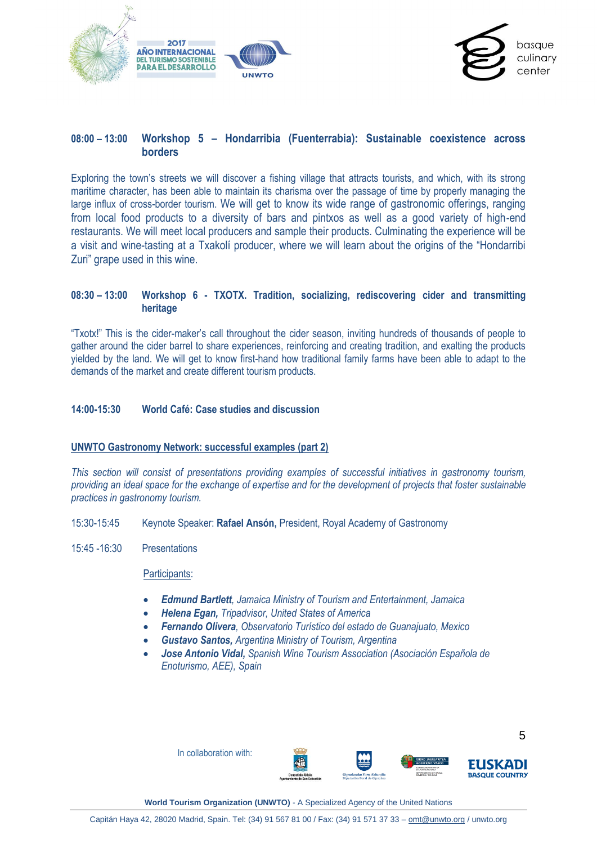



# **08:00 – 13:00 Workshop 5 – Hondarribia (Fuenterrabia): Sustainable coexistence across borders**

Exploring the town's streets we will discover a fishing village that attracts tourists, and which, with its strong maritime character, has been able to maintain its charisma over the passage of time by properly managing the large influx of cross-border tourism. We will get to know its wide range of gastronomic offerings, ranging from local food products to a diversity of bars and pintxos as well as a good variety of high-end restaurants. We will meet local producers and sample their products. Culminating the experience will be a visit and wine-tasting at a Txakolí producer, where we will learn about the origins of the "Hondarribi Zuri" grape used in this wine.

#### **08:30 – 13:00 Workshop 6 - TXOTX. Tradition, socializing, rediscovering cider and transmitting heritage**

"Txotx!" This is the cider-maker's call throughout the cider season, inviting hundreds of thousands of people to gather around the cider barrel to share experiences, reinforcing and creating tradition, and exalting the products yielded by the land. We will get to know first-hand how traditional family farms have been able to adapt to the demands of the market and create different tourism products.

#### **14:00-15:30 World Café: Case studies and discussion**

#### **UNWTO Gastronomy Network: successful examples (part 2)**

*This section will consist of presentations providing examples of successful initiatives in gastronomy tourism, providing an ideal space for the exchange of expertise and for the development of projects that foster sustainable practices in gastronomy tourism.* 

- 15:30-15:45 Keynote Speaker: **Rafael Ansón,** President, Royal Academy of Gastronomy
- 15:45 -16:30 Presentations

Participants:

- *Edmund Bartlett, Jamaica Ministry of Tourism and Entertainment, Jamaica*
- *Helena Egan, Tripadvisor, United States of America*
- *Fernando Olivera, Observatorio Turístico del estado de Guanajuato, Mexico*
- *Gustavo Santos, Argentina Ministry of Tourism, Argentina*
- *Jose Antonio Vidal, Spanish Wine Tourism Association (Asociación Española de Enoturismo, AEE), Spain*



**World Tourism Organization (UNWTO)** - A Specialized Agency of the United Nations

5